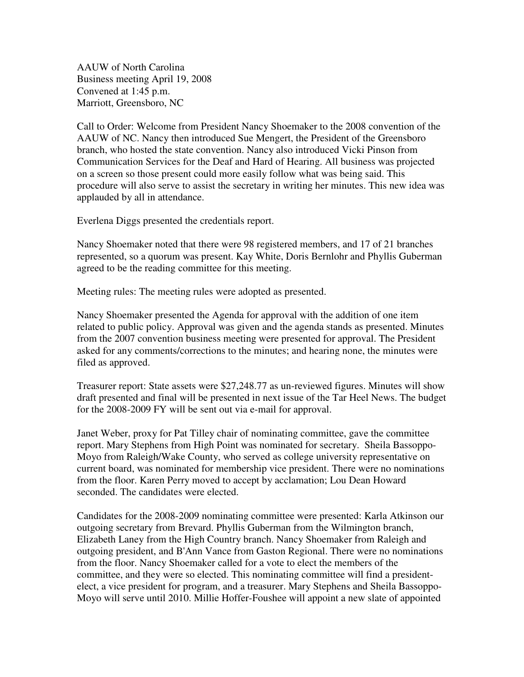AAUW of North Carolina Business meeting April 19, 2008 Convened at 1:45 p.m. Marriott, Greensboro, NC

Call to Order: Welcome from President Nancy Shoemaker to the 2008 convention of the AAUW of NC. Nancy then introduced Sue Mengert, the President of the Greensboro branch, who hosted the state convention. Nancy also introduced Vicki Pinson from Communication Services for the Deaf and Hard of Hearing. All business was projected on a screen so those present could more easily follow what was being said. This procedure will also serve to assist the secretary in writing her minutes. This new idea was applauded by all in attendance.

Everlena Diggs presented the credentials report.

Nancy Shoemaker noted that there were 98 registered members, and 17 of 21 branches represented, so a quorum was present. Kay White, Doris Bernlohr and Phyllis Guberman agreed to be the reading committee for this meeting.

Meeting rules: The meeting rules were adopted as presented.

Nancy Shoemaker presented the Agenda for approval with the addition of one item related to public policy. Approval was given and the agenda stands as presented. Minutes from the 2007 convention business meeting were presented for approval. The President asked for any comments/corrections to the minutes; and hearing none, the minutes were filed as approved.

Treasurer report: State assets were \$27,248.77 as un-reviewed figures. Minutes will show draft presented and final will be presented in next issue of the Tar Heel News. The budget for the 2008-2009 FY will be sent out via e-mail for approval.

Janet Weber, proxy for Pat Tilley chair of nominating committee, gave the committee report. Mary Stephens from High Point was nominated for secretary. Sheila Bassoppo-Moyo from Raleigh/Wake County, who served as college university representative on current board, was nominated for membership vice president. There were no nominations from the floor. Karen Perry moved to accept by acclamation; Lou Dean Howard seconded. The candidates were elected.

Candidates for the 2008-2009 nominating committee were presented: Karla Atkinson our outgoing secretary from Brevard. Phyllis Guberman from the Wilmington branch, Elizabeth Laney from the High Country branch. Nancy Shoemaker from Raleigh and outgoing president, and B'Ann Vance from Gaston Regional. There were no nominations from the floor. Nancy Shoemaker called for a vote to elect the members of the committee, and they were so elected. This nominating committee will find a presidentelect, a vice president for program, and a treasurer. Mary Stephens and Sheila Bassoppo-Moyo will serve until 2010. Millie Hoffer-Foushee will appoint a new slate of appointed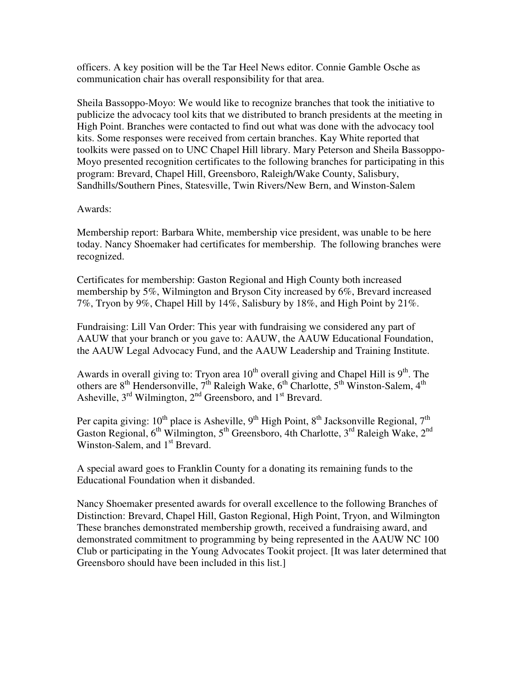officers. A key position will be the Tar Heel News editor. Connie Gamble Osche as communication chair has overall responsibility for that area.

Sheila Bassoppo-Moyo: We would like to recognize branches that took the initiative to publicize the advocacy tool kits that we distributed to branch presidents at the meeting in High Point. Branches were contacted to find out what was done with the advocacy tool kits. Some responses were received from certain branches. Kay White reported that toolkits were passed on to UNC Chapel Hill library. Mary Peterson and Sheila Bassoppo-Moyo presented recognition certificates to the following branches for participating in this program: Brevard, Chapel Hill, Greensboro, Raleigh/Wake County, Salisbury, Sandhills/Southern Pines, Statesville, Twin Rivers/New Bern, and Winston-Salem

## Awards:

Membership report: Barbara White, membership vice president, was unable to be here today. Nancy Shoemaker had certificates for membership. The following branches were recognized.

Certificates for membership: Gaston Regional and High County both increased membership by 5%, Wilmington and Bryson City increased by 6%, Brevard increased 7%, Tryon by 9%, Chapel Hill by 14%, Salisbury by 18%, and High Point by 21%.

Fundraising: Lill Van Order: This year with fundraising we considered any part of AAUW that your branch or you gave to: AAUW, the AAUW Educational Foundation, the AAUW Legal Advocacy Fund, and the AAUW Leadership and Training Institute.

Awards in overall giving to: Tryon area  $10^{th}$  overall giving and Chapel Hill is  $9^{th}$ . The others are  $8^{th}$  Hendersonville,  $7^{th}$  Raleigh Wake,  $6^{th}$  Charlotte,  $5^{th}$  Winston-Salem,  $4^{th}$ Asheville,  $3<sup>rd</sup>$  Wilmington,  $2<sup>nd</sup>$  Greensboro, and  $1<sup>st</sup>$  Brevard.

Per capita giving:  $10^{th}$  place is Asheville,  $9^{th}$  High Point,  $8^{th}$  Jacksonville Regional,  $7^{th}$ Gaston Regional,  $6<sup>th</sup>$  Wilmington,  $5<sup>th</sup>$  Greensboro, 4th Charlotte,  $3<sup>rd</sup>$  Raleigh Wake,  $2<sup>nd</sup>$ Winston-Salem, and 1<sup>st</sup> Brevard.

A special award goes to Franklin County for a donating its remaining funds to the Educational Foundation when it disbanded.

Nancy Shoemaker presented awards for overall excellence to the following Branches of Distinction: Brevard, Chapel Hill, Gaston Regional, High Point, Tryon, and Wilmington These branches demonstrated membership growth, received a fundraising award, and demonstrated commitment to programming by being represented in the AAUW NC 100 Club or participating in the Young Advocates Tookit project. [It was later determined that Greensboro should have been included in this list.]